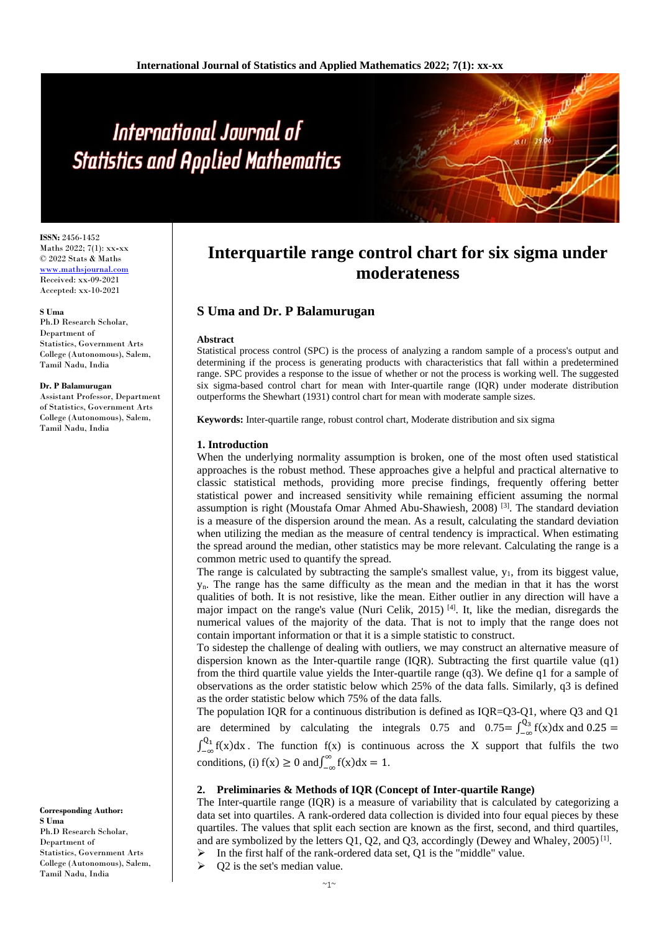# International Journal of **Statistics and Applied Mathematics**

**ISSN:** 2456-1452 Maths 2022; 7(1): xx**-**xx © 2022 Stats & Maths www.mathsjournal.com Received: xx-09-2021 Accepted: xx-10-2021

#### **S Uma**

Ph.D Research Scholar, Department of Statistics, Government Arts College (Autonomous), Salem, Tamil Nadu, India

#### **Dr. P Balamurugan**

Assistant Professor, Department of Statistics, Government Arts College (Autonomous), Salem, Tamil Nadu, India

**Corresponding Author: S Uma** Ph.D Research Scholar, Department of Statistics, Government Arts College (Autonomous), Salem, Tamil Nadu, India

# **Interquartile range control chart for six sigma under moderateness**

# **S Uma and Dr. P Balamurugan**

#### **Abstract**

Statistical process control (SPC) is the process of analyzing a random sample of a process's output and determining if the process is generating products with characteristics that fall within a predetermined range. SPC provides a response to the issue of whether or not the process is working well. The suggested six sigma-based control chart for mean with Inter-quartile range (IQR) under moderate distribution outperforms the Shewhart (1931) control chart for mean with moderate sample sizes.

**Keywords:** Inter-quartile range, robust control chart, Moderate distribution and six sigma

### **1. Introduction**

When the underlying normality assumption is broken, one of the most often used statistical approaches is the robust method. These approaches give a helpful and practical alternative to classic statistical methods, providing more precise findings, frequently offering better statistical power and increased sensitivity while remaining efficient assuming the normal assumption is right (Moustafa Omar Ahmed Abu-Shawiesh, 2008) [3]. The standard deviation is a measure of the dispersion around the mean. As a result, calculating the standard deviation when utilizing the median as the measure of central tendency is impractical. When estimating the spread around the median, other statistics may be more relevant. Calculating the range is a common metric used to quantify the spread.

The range is calculated by subtracting the sample's smallest value,  $y_1$ , from its biggest value, yn. The range has the same difficulty as the mean and the median in that it has the worst qualities of both. It is not resistive, like the mean. Either outlier in any direction will have a major impact on the range's value (Nuri Celik, 2015)<sup>[4]</sup>. It, like the median, disregards the numerical values of the majority of the data. That is not to imply that the range does not contain important information or that it is a simple statistic to construct.

To sidestep the challenge of dealing with outliers, we may construct an alternative measure of dispersion known as the Inter-quartile range (IOR). Subtracting the first quartile value (q1) from the third quartile value yields the Inter-quartile range (q3). We define q1 for a sample of observations as the order statistic below which 25% of the data falls. Similarly, q3 is defined as the order statistic below which 75% of the data falls.

The population IQR for a continuous distribution is defined as IQR=Q3-Q1, where Q3 and Q1 are determined by calculating the integrals 0.75 and  $0.75 = \int_{-\infty}^{Q_3} f(x) dx$  and  $0.25 =$  $\int_{-\infty}^{Q_1} f(x) dx$ . The function  $f(x)$  is continuous across the X support that fulfils the two conditions, (i)  $f(x) \ge 0$  and  $\int_{-\infty}^{\infty} f(x) dx = 1$ .

#### **2. Preliminaries & Methods of IQR (Concept of Inter-quartile Range)**

The Inter-quartile range (IQR) is a measure of variability that is calculated by categorizing a data set into quartiles. A rank-ordered data collection is divided into four equal pieces by these quartiles. The values that split each section are known as the first, second, and third quartiles, and are symbolized by the letters  $Q1$ ,  $Q2$ , and  $Q3$ , accordingly (Dewey and Whaley, 2005)<sup>[1]</sup>.

 $\triangleright$  In the first half of the rank-ordered data set, Q1 is the "middle" value.

Q2 is the set's median value.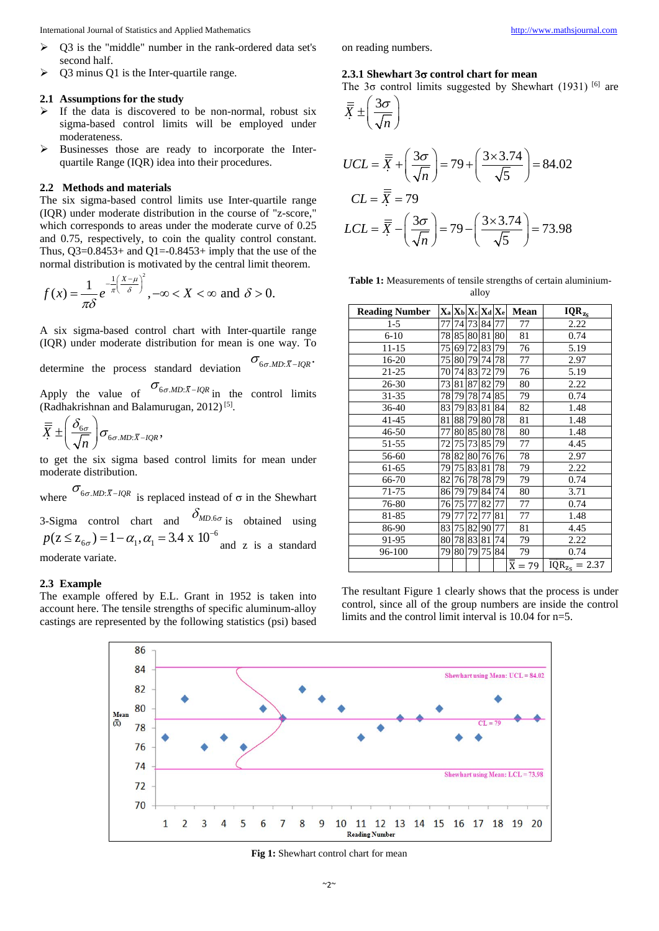International Journal of Statistics and Applied Mathematics [http://www.mathsjournal.com](http://www.mathsjournal.com/)

- $\triangleright$  Q3 is the "middle" number in the rank-ordered data set's second half.
- $\geq$  Q3 minus Q1 is the Inter-quartile range.

#### **2.1 Assumptions for the study**

- If the data is discovered to be non-normal, robust six sigma-based control limits will be employed under moderateness.
- $\triangleright$  Businesses those are ready to incorporate the Interquartile Range (IQR) idea into their procedures.

#### **2.2 Methods and materials**

The six sigma-based control limits use Inter-quartile range (IQR) under moderate distribution in the course of "z-score," which corresponds to areas under the moderate curve of 0.25 and 0.75, respectively, to coin the quality control constant. Thus,  $O3=0.8453+$  and  $O1=0.8453+$  imply that the use of the normal distribution is motivated by the central limit theorem.

$$
f(x) = \frac{1}{\pi \delta} e^{-\frac{1}{\pi} \left(\frac{X-\mu}{\delta}\right)^2}, -\infty < X < \infty \text{ and } \delta > 0.
$$

A six sigma-based control chart with Inter-quartile range (IQR) under moderate distribution for mean is one way. To

determine the process standard deviation  $\sigma_{6\sigma, MD:\bar{X}-IQR}$ .

Apply the value of  $\sigma_{6\sigma.MD:\bar{X}-IQR}$  in the control limits (Radhakrishnan and Balamurugan, 2012)<sup>[5]</sup>.

$$
\overline{\overline{X}} \pm \left( \frac{\delta_{6\sigma}}{\sqrt{n}} \right) \sigma_{6\sigma.MD:\overline{X} - IQR},
$$

to get the six sigma based control limits for mean under moderate distribution.

where  $\sigma_{6\sigma M D:\bar{X}-IQR}$  is replaced instead of  $\sigma$  in the Shewhart 3-Sigma control chart and  $\delta_{MD.6\sigma}$  is obtained using  $p(z \leq z_{6\sigma}) = 1 - \alpha_1, \alpha_1 = 3.4 \times 10^{-6}$  and z is a standard moderate variate.

#### **2.3 Example**

The example offered by E.L. Grant in 1952 is taken into account here. The tensile strengths of specific aluminum-alloy castings are represented by the following statistics (psi) based on reading numbers.

#### **2.3.1 Shewhart 3**σ **control chart for mean**

The  $3\sigma$  control limits suggested by Shewhart (1931) [6] are

$$
\overline{\overline{X}} \pm \left(\frac{3\sigma}{\sqrt{n}}\right)
$$
  
\n
$$
UCL = \overline{\overline{X}} + \left(\frac{3\sigma}{\sqrt{n}}\right) = 79 + \left(\frac{3 \times 3.74}{\sqrt{5}}\right) = 84.02
$$
  
\n
$$
CL = \overline{\overline{X}} = 79
$$
  
\n
$$
LCL = \overline{\overline{X}} - \left(\frac{3\sigma}{\sqrt{n}}\right) = 79 - \left(\frac{3 \times 3.74}{\sqrt{5}}\right) = 73.98
$$

**Table 1:** Measurements of tensile strengths of certain aluminiumalloy

| <b>Reading Number</b> |    | $X_a   X_b   X_c   X_d   X_e$ |    |          |    | Mean                           | $IQR_{z_S}$        |
|-----------------------|----|-------------------------------|----|----------|----|--------------------------------|--------------------|
| $1-5$                 | 77 |                               |    | 74 73 84 | 77 | 77                             | 2.22               |
| $6 - 10$              |    | 78 85 80 81                   |    |          | 80 | 81                             | 0.74               |
| 11-15                 | 75 | 69 72                         |    | 83       | 79 | 76                             | 5.19               |
| 16-20                 | 75 | 80                            | 79 | 74       | 78 | 77                             | 2.97               |
| 21-25                 | 70 | 74 83                         |    | 72       | 79 | 76                             | 5.19               |
| $26 - 30$             | 73 | 81                            | 87 | 82       | 79 | 80                             | 2.22               |
| 31-35                 | 78 | 79                            | 78 | 74       | 85 | 79                             | 0.74               |
| $36 - 40$             | 83 | 79                            | 83 | 81       | 84 | 82                             | 1.48               |
| 41-45                 | 81 | 88 79                         |    | 80       | 78 | 81                             | 1.48               |
| 46-50                 | 77 | 80                            | 85 | 80       | 78 | 80                             | 1.48               |
| 51-55                 | 72 | 75                            | 73 | 85       | 79 | 77                             | 4.45               |
| 56-60                 | 78 | 82 80                         |    | 76       | 76 | 78                             | 2.97               |
| 61-65                 | 79 | 75 83                         |    | 81       | 78 | 79                             | 2.22               |
| 66-70                 | 82 | 76                            | 78 | 78       | 79 | 79                             | 0.74               |
| 71-75                 | 86 | 79                            | 79 | 84       | 74 | 80                             | 3.71               |
| 76-80                 | 76 | 75                            | 77 | 82       | 77 | 77                             | 0.74               |
| 81-85                 | 79 | 77                            | 72 | 77       | 81 | 77                             | 1.48               |
| 86-90                 | 83 | 75                            | 82 | 90       | 77 | 81                             | 4.45               |
| 91-95                 | 80 | 78 83                         |    | 81       | 74 | 79                             | 2.22               |
| 96-100                | 79 | 80                            | 79 | 75       | 84 | 79                             | 0.74               |
|                       |    |                               |    |          |    | $\overline{\overline{X}} = 79$ | $IQR_{Z_S} = 2.37$ |

The resultant Figure 1 clearly shows that the process is under control, since all of the group numbers are inside the control limits and the control limit interval is 10.04 for n=5.



**Fig 1:** Shewhart control chart for mean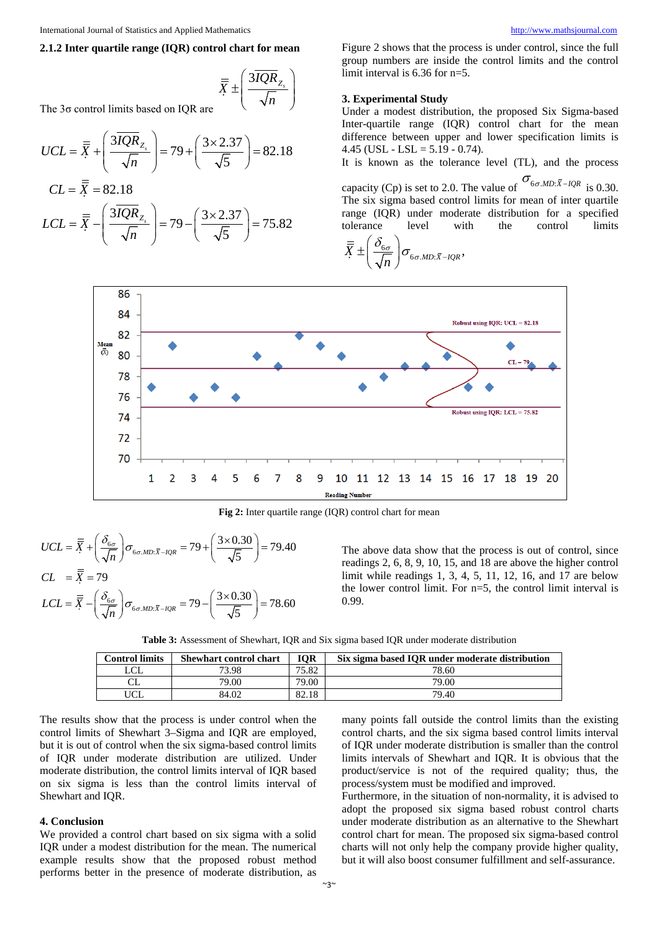## **2.1.2 Inter quartile range (IQR) control chart for mean**

$$
\overline{\overline{X}} \pm \left( \frac{3\overline{IQR}_{Z_s}}{\sqrt{n}} \right)
$$

The 3σ control limits based on IQR are

$$
UCL = \overline{\overline{X}} + \left(\frac{3\overline{IQR}}{\sqrt{n}}\right) = 79 + \left(\frac{3 \times 2.37}{\sqrt{5}}\right) = 82.18
$$

$$
CL = \bar{X} = 82.18
$$
  
 
$$
LCL = \bar{X} - \left(\frac{3IQR}{\sqrt{n}}Z_{\frac{1}{2}}\right) = 79 - \left(\frac{3 \times 2.37}{\sqrt{5}}\right) = 75.82
$$

Figure 2 shows that the process is under control, since the full group numbers are inside the control limits and the control limit interval is 6.36 for n=5.

#### **3. Experimental Study**

Under a modest distribution, the proposed Six Sigma-based Inter-quartile range (IQR) control chart for the mean difference between upper and lower specification limits is  $4.45$  (USL - LSL =  $5.19 - 0.74$ ).

It is known as the tolerance level (TL), and the process capacity (Cp) is set to 2.0. The value of  $\sigma_{6\sigma,MD:\bar{X}-IQR}$  is 0.30. The six sigma based control limits for mean of inter quartile range (IQR) under moderate distribution for a specified

tolerance level with the control limits  $\overline{X} \pm \left( \frac{\sigma_{6\sigma}}{\sqrt{n}} \right) \sigma_{6\sigma.MD:\bar{X}-IQR},$ σ σ δ  $\sigma_{_{6\sigma,MD:\bar{X}-}}$  $\overline{\overline{X}}\pm\left(\frac{\delta_{6\sigma}}{\sqrt{n}}\right)$ 



**Fig 2:** Inter quartile range (IQR) control chart for mean

$$
UCL = \overline{\overline{X}} + \left(\frac{\delta_{6\sigma}}{\sqrt{n}}\right)\sigma_{6\sigma.MD:\overline{X} - IQR} = 79 + \left(\frac{3 \times 0.30}{\sqrt{5}}\right) = 79.40
$$
  
\n
$$
CL = \overline{\overline{X}} = 79
$$
  
\n
$$
LCL = \overline{\overline{X}} - \left(\frac{\delta_{6\sigma}}{\sqrt{n}}\right)\sigma_{6\sigma.MD:\overline{X} - IQR} = 79 - \left(\frac{3 \times 0.30}{\sqrt{5}}\right) = 78.60
$$

The above data show that the process is out of control, since readings 2, 6, 8, 9, 10, 15, and 18 are above the higher control limit while readings 1, 3, 4, 5, 11, 12, 16, and 17 are below the lower control limit. For n=5, the control limit interval is 0.99.

| <b>Table 3:</b> Assessment of Shewhart, IQR and Six sigma based IQR under moderate distribution |  |  |  |  |
|-------------------------------------------------------------------------------------------------|--|--|--|--|
|-------------------------------------------------------------------------------------------------|--|--|--|--|

| <b>Control limits</b> | <b>Shewhart control chart</b> | IOR   | Six sigma based IOR under moderate distribution |
|-----------------------|-------------------------------|-------|-------------------------------------------------|
| LCL                   | 73.98                         | 75.82 | 78.60                                           |
|                       | 79.00                         | 79.00 | 79.00                                           |
|                       | 84.02                         | 82.18 | 79.40                                           |

The results show that the process is under control when the control limits of Shewhart 3–Sigma and IQR are employed, but it is out of control when the six sigma-based control limits of IQR under moderate distribution are utilized. Under moderate distribution, the control limits interval of IQR based on six sigma is less than the control limits interval of Shewhart and IQR.

#### **4. Conclusion**

We provided a control chart based on six sigma with a solid IQR under a modest distribution for the mean. The numerical example results show that the proposed robust method performs better in the presence of moderate distribution, as

many points fall outside the control limits than the existing control charts, and the six sigma based control limits interval of IQR under moderate distribution is smaller than the control limits intervals of Shewhart and IQR. It is obvious that the product/service is not of the required quality; thus, the process/system must be modified and improved.

Furthermore, in the situation of non-normality, it is advised to adopt the proposed six sigma based robust control charts under moderate distribution as an alternative to the Shewhart control chart for mean. The proposed six sigma-based control charts will not only help the company provide higher quality, but it will also boost consumer fulfillment and self-assurance.